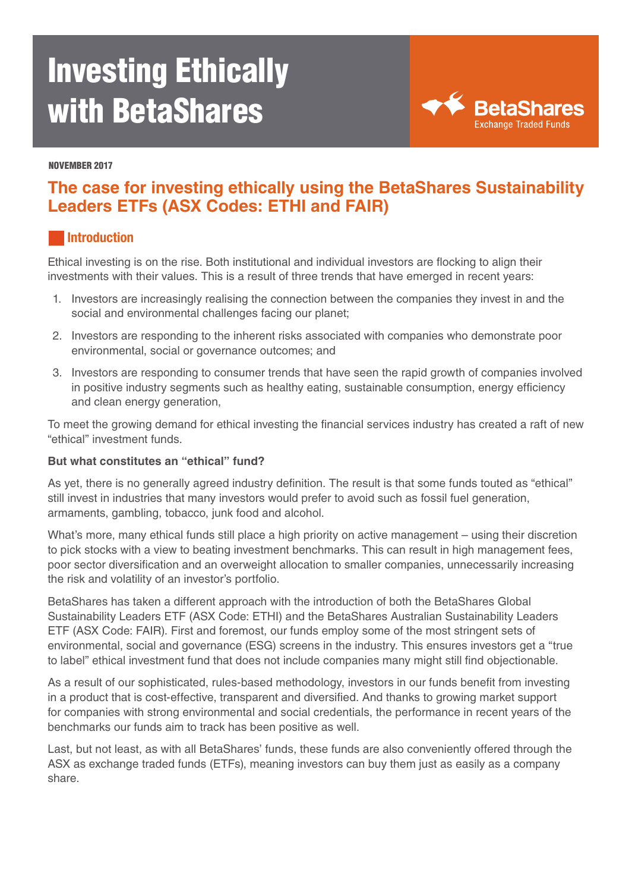# Investing Ethically with BetaShares



#### NOVEMBER 2017

# **The case for investing ethically using the BetaShares Sustainability Leaders ETFs (ASX Codes: ETHI and FAIR)**

#### **Introduction**

Ethical investing is on the rise. Both institutional and individual investors are flocking to align their investments with their values. This is a result of three trends that have emerged in recent years:

- 1. Investors are increasingly realising the connection between the companies they invest in and the social and environmental challenges facing our planet;
- 2. Investors are responding to the inherent risks associated with companies who demonstrate poor environmental, social or governance outcomes; and
- 3. Investors are responding to consumer trends that have seen the rapid growth of companies involved in positive industry segments such as healthy eating, sustainable consumption, energy efficiency and clean energy generation,

To meet the growing demand for ethical investing the financial services industry has created a raft of new "ethical" investment funds.

#### **But what constitutes an "ethical" fund?**

As yet, there is no generally agreed industry definition. The result is that some funds touted as "ethical" still invest in industries that many investors would prefer to avoid such as fossil fuel generation, armaments, gambling, tobacco, junk food and alcohol.

What's more, many ethical funds still place a high priority on active management – using their discretion to pick stocks with a view to beating investment benchmarks. This can result in high management fees, poor sector diversification and an overweight allocation to smaller companies, unnecessarily increasing the risk and volatility of an investor's portfolio.

BetaShares has taken a different approach with the introduction of both the BetaShares Global Sustainability Leaders ETF (ASX Code: ETHI) and the BetaShares Australian Sustainability Leaders ETF (ASX Code: FAIR). First and foremost, our funds employ some of the most stringent sets of environmental, social and governance (ESG) screens in the industry. This ensures investors get a "true to label" ethical investment fund that does not include companies many might still find objectionable.

As a result of our sophisticated, rules-based methodology, investors in our funds benefit from investing in a product that is cost-effective, transparent and diversified. And thanks to growing market support for companies with strong environmental and social credentials, the performance in recent years of the benchmarks our funds aim to track has been positive as well.

Last, but not least, as with all BetaShares' funds, these funds are also conveniently offered through the ASX as exchange traded funds (ETFs), meaning investors can buy them just as easily as a company share.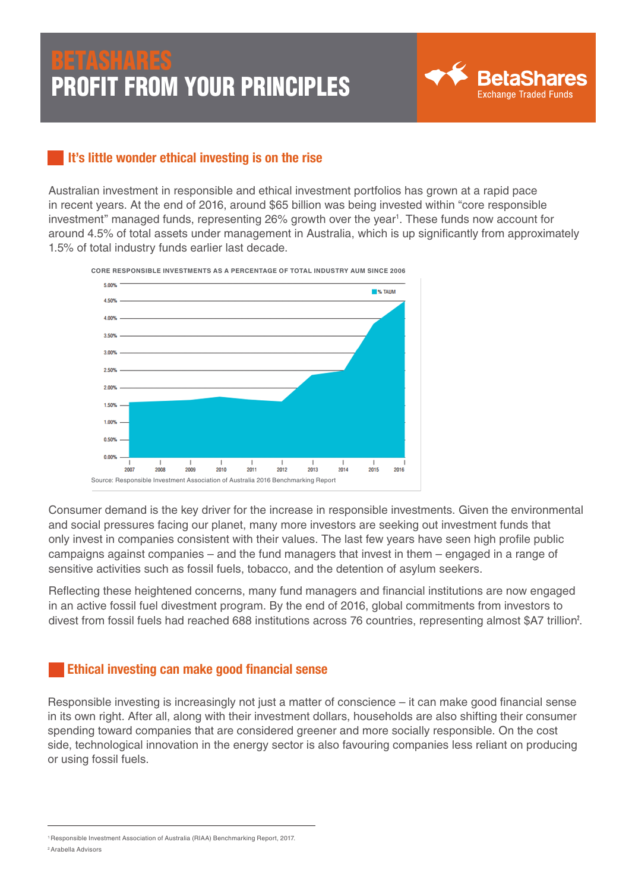

# It's little wonder ethical investing is on the rise

Australian investment in responsible and ethical investment portfolios has grown at a rapid pace in recent years. At the end of 2016, around \$65 billion was being invested within "core responsible investment" managed funds, representing 26% growth over the year<sup>1</sup>. These funds now account for around 4.5% of total assets under management in Australia, which is up significantly from approximately 1.5% of total industry funds earlier last decade.



Consumer demand is the key driver for the increase in responsible investments. Given the environmental and social pressures facing our planet, many more investors are seeking out investment funds that only invest in companies consistent with their values. The last few years have seen high profile public campaigns against companies – and the fund managers that invest in them – engaged in a range of sensitive activities such as fossil fuels, tobacco, and the detention of asylum seekers.

Reflecting these heightened concerns, many fund managers and financial institutions are now engaged in an active fossil fuel divestment program. By the end of 2016, global commitments from investors to divest from fossil fuels had reached 688 institutions across 76 countries, representing almost \$A7 trillion<sup>2</sup>.

### Ethical investing can make good financial sense

Responsible investing is increasingly not just a matter of conscience – it can make good financial sense in its own right. After all, along with their investment dollars, households are also shifting their consumer spending toward companies that are considered greener and more socially responsible. On the cost side, technological innovation in the energy sector is also favouring companies less reliant on producing or using fossil fuels.

<sup>1</sup> Responsible Investment Association of Australia (RIAA) Benchmarking Report, 2017.

<sup>2</sup> Arabella Advisors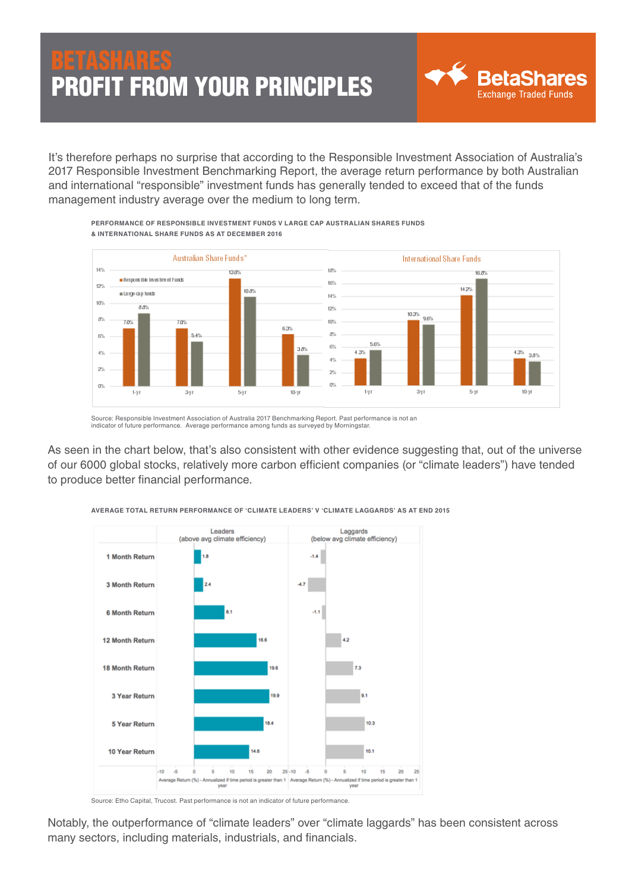It's therefore perhaps no surprise that according to the Responsible Investment Association of Australia's 2017 Responsible Investment Benchmarking Report, the average return performance by both Australian and international "responsible" investment funds has generally tended to exceed that of the funds management industry average over the medium to long term.



**PERFORMANCE OF RESPONSIBLE INVESTMENT FUNDS V LARGE CAP AUSTRALIAN SHARES FUNDS & INTERNATIONAL SHARE FUNDS AS AT DECEMBER 2016**

Source: Responsible Investment Association of Australia 2017 Benchmarking Report. Past performance is not an indicator of future performance. Average performance among funds as surveyed by Morningstar.

As seen in the chart below, that's also consistent with other evidence suggesting that, out of the universe of our 6000 global stocks, relatively more carbon efficient companies (or "climate leaders") have tended to produce better financial performance.



**AVERAGE TOTAL RETURN PERFORMANCE OF 'CLIMATE LEADERS' V 'CLIMATE LAGGARDS' AS AT END 2015**

Notably, the outperformance of "climate leaders" over "climate laggards" has been consistent across many sectors, including materials, industrials, and financials.

Source: Etho Capital, Trucost. Past performance is not an indicator of future performance.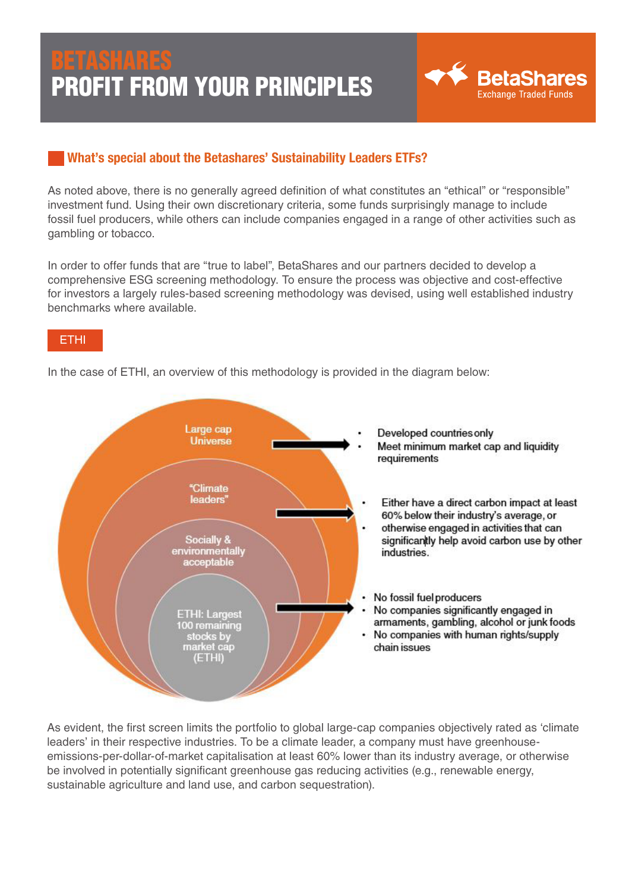

# What's special about the Betashares' Sustainability Leaders ETFs?

As noted above, there is no generally agreed definition of what constitutes an "ethical" or "responsible" investment fund. Using their own discretionary criteria, some funds surprisingly manage to include fossil fuel producers, while others can include companies engaged in a range of other activities such as gambling or tobacco.

In order to offer funds that are "true to label", BetaShares and our partners decided to develop a comprehensive ESG screening methodology. To ensure the process was objective and cost-effective for investors a largely rules-based screening methodology was devised, using well established industry benchmarks where available.

### ETHI

In the case of ETHI, an overview of this methodology is provided in the diagram below:



As evident, the first screen limits the portfolio to global large-cap companies objectively rated as 'climate leaders' in their respective industries. To be a climate leader, a company must have greenhouseemissions-per-dollar-of-market capitalisation at least 60% lower than its industry average, or otherwise be involved in potentially significant greenhouse gas reducing activities (e.g., renewable energy, sustainable agriculture and land use, and carbon sequestration).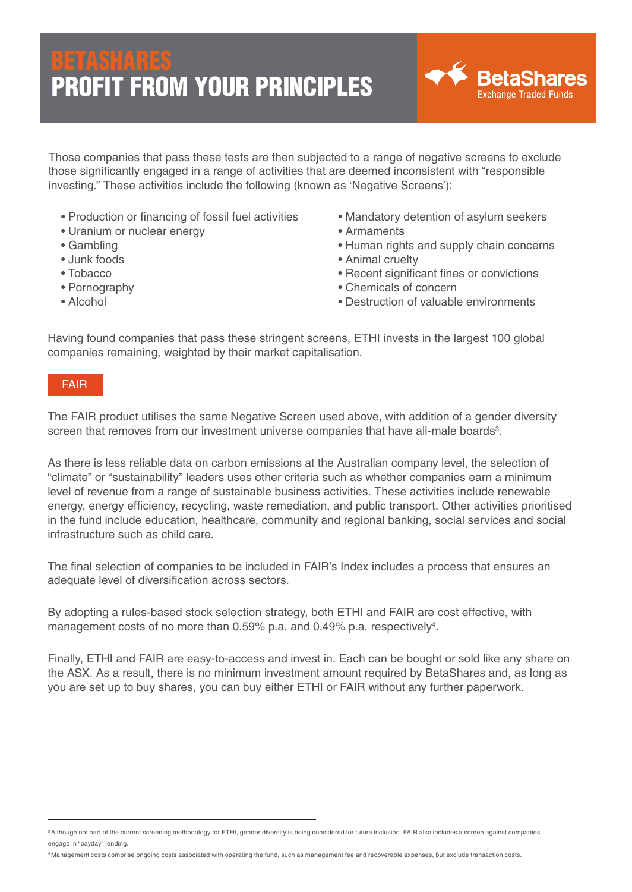

Those companies that pass these tests are then subjected to a range of negative screens to exclude those significantly engaged in a range of activities that are deemed inconsistent with "responsible investing." These activities include the following (known as 'Negative Screens'):

- Production or financing of fossil fuel activities
- Uranium or nuclear energy
- Gambling
- Junk foods
- Tobacco
- Pornography
- Alcohol
- Mandatory detention of asylum seekers
- Armaments
- Human rights and supply chain concerns
- Animal cruelty
- Recent significant fines or convictions
- Chemicals of concern
- Destruction of valuable environments

Having found companies that pass these stringent screens, ETHI invests in the largest 100 global companies remaining, weighted by their market capitalisation.

#### FAIR

The FAIR product utilises the same Negative Screen used above, with addition of a gender diversity screen that removes from our investment universe companies that have all-male boards<sup>3</sup>.

As there is less reliable data on carbon emissions at the Australian company level, the selection of "climate" or "sustainability" leaders uses other criteria such as whether companies earn a minimum level of revenue from a range of sustainable business activities. These activities include renewable energy, energy efficiency, recycling, waste remediation, and public transport. Other activities prioritised in the fund include education, healthcare, community and regional banking, social services and social infrastructure such as child care.

The final selection of companies to be included in FAIR's Index includes a process that ensures an adequate level of diversification across sectors.

By adopting a rules-based stock selection strategy, both ETHI and FAIR are cost effective, with management costs of no more than 0.59% p.a. and 0.49% p.a. respectively<sup>4</sup>.

Finally, ETHI and FAIR are easy-to-access and invest in. Each can be bought or sold like any share on the ASX. As a result, there is no minimum investment amount required by BetaShares and, as long as you are set up to buy shares, you can buy either ETHI or FAIR without any further paperwork.

4 Management costs comprise ongoing costs associated with operating the fund, such as management fee and recoverable expenses, but exclude transaction costs.

<sup>&</sup>lt;sup>3</sup> Although not part of the current screening methodology for ETHI, gender diversity is being considered for future inclusion. FAIR also includes a screen against companies engage in "payday" lending.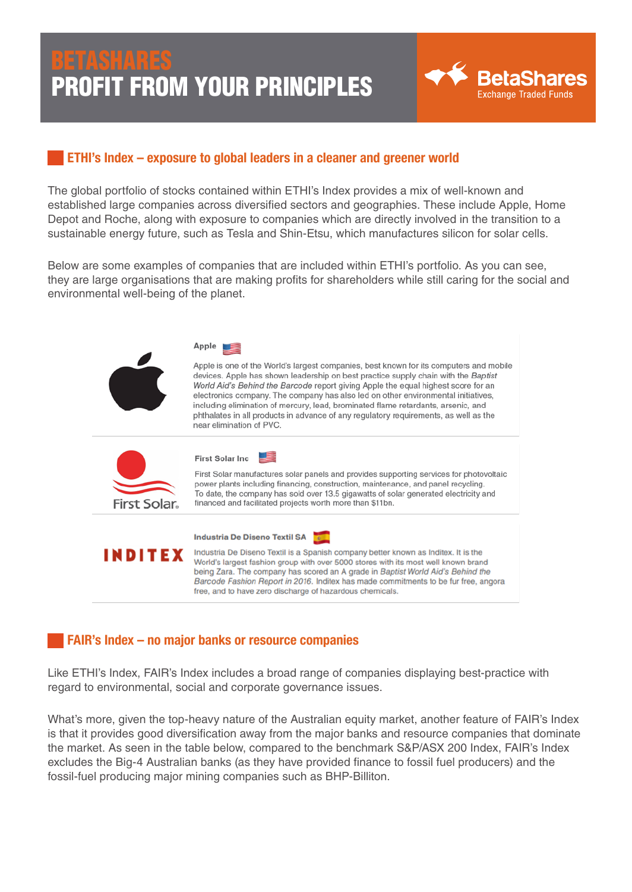

# ETHI's Index – exposure to global leaders in a cleaner and greener world

The global portfolio of stocks contained within ETHI's Index provides a mix of well-known and established large companies across diversified sectors and geographies. These include Apple, Home Depot and Roche, along with exposure to companies which are directly involved in the transition to a sustainable energy future, such as Tesla and Shin-Etsu, which manufactures silicon for solar cells.

Below are some examples of companies that are included within ETHI's portfolio. As you can see, they are large organisations that are making profits for shareholders while still caring for the social and environmental well-being of the planet.

|              | Apple<br>Apple is one of the World's largest companies, best known for its computers and mobile<br>devices. Apple has shown leadership on best practice supply chain with the Baptist<br>World Aid's Behind the Barcode report giving Apple the equal highest score for an<br>electronics company. The company has also led on other environmental initiatives,<br>including elimination of mercury, lead, brominated flame retardants, arsenic, and<br>phthalates in all products in advance of any regulatory requirements, as well as the<br>near elimination of PVC. |
|--------------|--------------------------------------------------------------------------------------------------------------------------------------------------------------------------------------------------------------------------------------------------------------------------------------------------------------------------------------------------------------------------------------------------------------------------------------------------------------------------------------------------------------------------------------------------------------------------|
| First Solar. | First Solar Inc<br>First Solar manufactures solar panels and provides supporting services for photovoltaic<br>power plants including financing, construction, maintenance, and panel recycling.<br>To date, the company has sold over 13.5 gigawatts of solar generated electricity and<br>financed and facilitated projects worth more than \$11bn.                                                                                                                                                                                                                     |
| INDITEX      | Industria De Diseno Textil SA<br>Industria De Diseno Textil is a Spanish company better known as Inditex. It is the<br>World's largest fashion group with over 5000 stores with its most well known brand<br>being Zara. The company has scored an A grade in Baptist World Aid's Behind the<br>Barcode Fashion Report in 2016. Inditex has made commitments to be fur free, angora<br>free, and to have zero discharge of hazardous chemicals.                                                                                                                          |

### FAIR's Index – no major banks or resource companies

Like ETHI's Index, FAIR's Index includes a broad range of companies displaying best-practice with regard to environmental, social and corporate governance issues.

What's more, given the top-heavy nature of the Australian equity market, another feature of FAIR's Index is that it provides good diversification away from the major banks and resource companies that dominate the market. As seen in the table below, compared to the benchmark S&P/ASX 200 Index, FAIR's Index excludes the Big-4 Australian banks (as they have provided finance to fossil fuel producers) and the fossil-fuel producing major mining companies such as BHP-Billiton.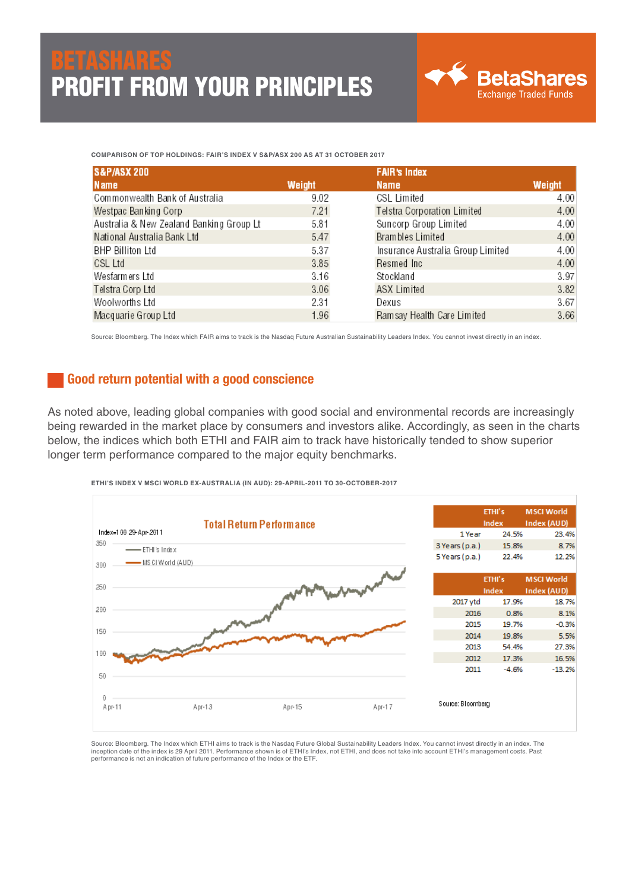**COMPARISON OF TOP HOLDINGS: FAIR'S INDEX V S&P/ASX 200 AS AT 31 OCTOBER 2017**

| <b>S&amp;P/ASX 200</b>                   |        | <b>FAIR's Index</b>               |        |  |
|------------------------------------------|--------|-----------------------------------|--------|--|
| Name                                     | Weight | <b>Name</b>                       | Weight |  |
| Commonwealth Bank of Australia           | 9.02   | CSL Limited                       | 4.00   |  |
| Westpac Banking Corp                     | 7.21   | Telstra Corporation Limited       | 4.00   |  |
| Australia & New Zealand Banking Group Lt | 5.81   | Suncorp Group Limited             | 4.00   |  |
| National Australia Bank Ltd              | 5.47   | Brambles Limited                  | 4.00   |  |
| <b>BHP Billiton Ltd</b>                  | 5.37   | Insurance Australia Group Limited | 4.00   |  |
| CSL Ltd                                  | 3.85   | Resmed Inc                        | 4.00   |  |
| Wesfarmers Ltd                           | 3.16   | Stockland                         | 3.97   |  |
| Telstra Corp Ltd                         | 3.06   | <b>ASX Limited</b>                | 3.82   |  |
| Woolworths Ltd                           | 2.31   | Dexus                             | 3.67   |  |
| Macquarie Group Ltd                      | 1.96   | Ramsay Health Care Limited        | 3.66   |  |

Source: Bloomberg. The Index which FAIR aims to track is the Nasdaq Future Australian Sustainability Leaders Index. You cannot invest directly in an index.

#### Good return potential with a good conscience

As noted above, leading global companies with good social and environmental records are increasingly being rewarded in the market place by consumers and investors alike. Accordingly, as seen in the charts below, the indices which both ETHI and FAIR aim to track have historically tended to show superior longer term performance compared to the major equity benchmarks.



**ETHI'S INDEX V MSCI WORLD EX-AUSTRALIA (IN AUD): 29-APRIL-2011 TO 30-OCTOBER-2017**

Source: Bloomberg. The Index which ETHI aims to track is the Nasdaq Future Global Sustainability Leaders Index. You cannot invest directly in an index. The inception date of the index is 29 April 2011. Performance shown is of ETHI's Index, not ETHI, and does not take into account ETHI's management costs. Past<br>performance is not an indication of future performance of the Index